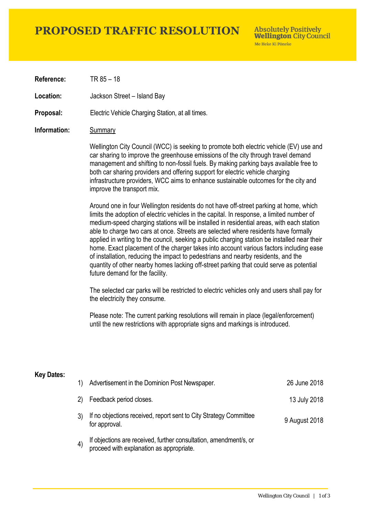## **PROPOSED TRAFFIC RESOLUTION**

**Absolutely Positively Wellington City Council** Me Heke Ki Pôneke

**Reference:** TR 85 – 18

Location: Jackson Street – Island Bay

**Proposal:** Electric Vehicle Charging Station, at all times.

### **Information:** Summary

Wellington City Council (WCC) is seeking to promote both electric vehicle (EV) use and car sharing to improve the greenhouse emissions of the city through travel demand management and shifting to non-fossil fuels. By making parking bays available free to both car sharing providers and offering support for electric vehicle charging infrastructure providers, WCC aims to enhance sustainable outcomes for the city and improve the transport mix.

Around one in four Wellington residents do not have off-street parking at home, which limits the adoption of electric vehicles in the capital. In response, a limited number of medium-speed charging stations will be installed in residential areas, with each station able to charge two cars at once. Streets are selected where residents have formally applied in writing to the council, seeking a public charging station be installed near their home. Exact placement of the charger takes into account various factors including ease of installation, reducing the impact to pedestrians and nearby residents, and the quantity of other nearby homes lacking off-street parking that could serve as potential future demand for the facility.

The selected car parks will be restricted to electric vehicles only and users shall pay for the electricity they consume.

Please note: The current parking resolutions will remain in place (legal/enforcement) until the new restrictions with appropriate signs and markings is introduced.

#### **Key Dates:**

| 1)                | Advertisement in the Dominion Post Newspaper.                                                                 | 26 June 2018  |
|-------------------|---------------------------------------------------------------------------------------------------------------|---------------|
| 2)                | Feedback period closes.                                                                                       | 13 July 2018  |
|                   | If no objections received, report sent to City Strategy Committee<br>for approval.                            | 9 August 2018 |
| $\left( 4\right)$ | If objections are received, further consultation, amendment/s, or<br>proceed with explanation as appropriate. |               |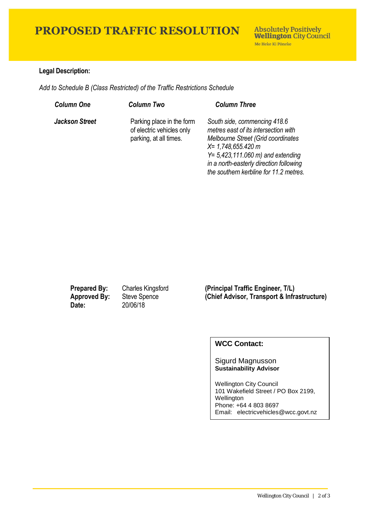## **PROPOSED TRAFFIC RESOLUTION**

### **Legal Description:**

*Add to Schedule B (Class Restricted) of the Traffic Restrictions Schedule* 

| <b>Column One</b>     | <b>Column Two</b>                                                                | <b>Column Three</b>                                                                                                                                                                                                                                              |
|-----------------------|----------------------------------------------------------------------------------|------------------------------------------------------------------------------------------------------------------------------------------------------------------------------------------------------------------------------------------------------------------|
| <b>Jackson Street</b> | Parking place in the form<br>of electric vehicles only<br>parking, at all times. | South side, commencing 418.6<br>metres east of its intersection with<br>Melbourne Street (Grid coordinates<br>$X = 1,748,655.420 m$<br>$Y = 5,423,111.060$ m) and extending<br>in a north-easterly direction following<br>the southern kerbline for 11.2 metres. |

**Date:** 20/06/18

**Prepared By:** Charles Kingsford **(Principal Traffic Engineer, T/L) Approved By:** Steve Spence **(Chief Advisor, Transport & Infrastructure)**

## **WCC Contact:**

### Sigurd Magnusson **Sustainability Advisor**

Wellington City Council 101 Wakefield Street / PO Box 2199, Wellington Phone: +64 4 803 8697 Email: electricvehicles@wcc.govt.nz